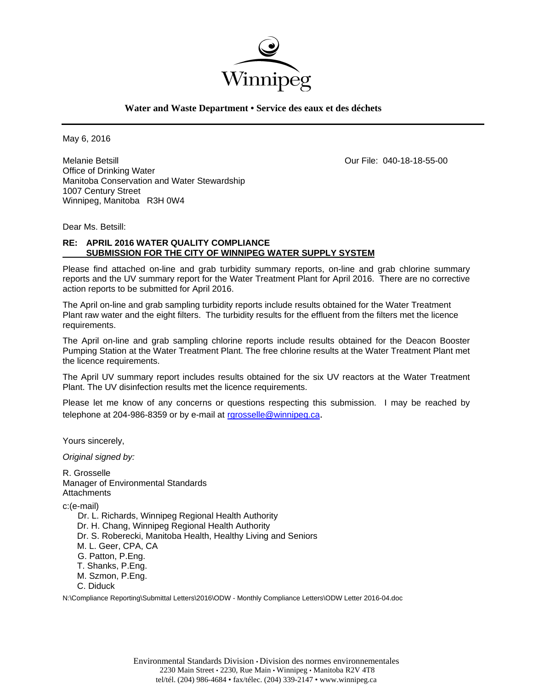

### **Water and Waste Department • Service des eaux et des déchets**

May 6, 2016

Melanie Betsill Our File: 040-18-18-55-00 Office of Drinking Water Manitoba Conservation and Water Stewardship 1007 Century Street Winnipeg, Manitoba R3H 0W4

Dear Ms. Betsill:

### **RE: APRIL 2016 WATER QUALITY COMPLIANCE SUBMISSION FOR THE CITY OF WINNIPEG WATER SUPPLY SYSTEM**

Please find attached on-line and grab turbidity summary reports, on-line and grab chlorine summary reports and the UV summary report for the Water Treatment Plant for April 2016. There are no corrective action reports to be submitted for April 2016.

The April on-line and grab sampling turbidity reports include results obtained for the Water Treatment Plant raw water and the eight filters. The turbidity results for the effluent from the filters met the licence requirements.

The April on-line and grab sampling chlorine reports include results obtained for the Deacon Booster Pumping Station at the Water Treatment Plant. The free chlorine results at the Water Treatment Plant met the licence requirements.

The April UV summary report includes results obtained for the six UV reactors at the Water Treatment Plant. The UV disinfection results met the licence requirements.

Please let me know of any concerns or questions respecting this submission. I may be reached by telephone at 204-986-8359 or by e-mail at rgrosselle@winnipeg.ca.

Yours sincerely,

*Original signed by:* 

R. Grosselle Manager of Environmental Standards **Attachments** 

c:(e-mail)

 Dr. L. Richards, Winnipeg Regional Health Authority Dr. H. Chang, Winnipeg Regional Health Authority Dr. S. Roberecki, Manitoba Health, Healthy Living and Seniors M. L. Geer, CPA, CA G. Patton, P.Eng. T. Shanks, P.Eng. M. Szmon, P.Eng. C. Diduck

N:\Compliance Reporting\Submittal Letters\2016\ODW - Monthly Compliance Letters\ODW Letter 2016-04.doc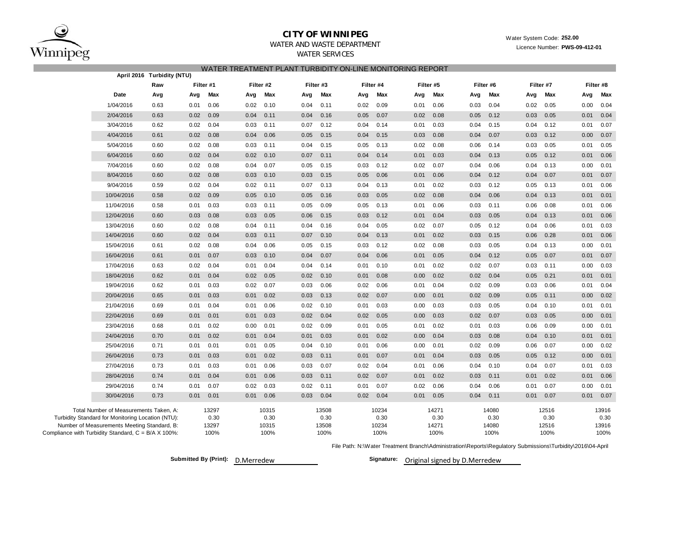

**April 2016 Turbidity (NTU)**

### **CITY OF WINNIPEG**

## Water System Code: **252.00**

Licence Number: **PWS-09-412-01**

# WATER AND WASTE DEPARTMENT

WATER SERVICES

| WATER TREATMENT PLANT TURBIDITY ON-LINE MONITORING REPORT. |
|------------------------------------------------------------|
|------------------------------------------------------------|

|                                                     | April 2010 Turbluity (NTU) |      |           |      |           |           |       |      |           |      |           |      |           |      |           |      |           |
|-----------------------------------------------------|----------------------------|------|-----------|------|-----------|-----------|-------|------|-----------|------|-----------|------|-----------|------|-----------|------|-----------|
|                                                     | Raw                        |      | Filter #1 |      | Filter #2 | Filter #3 |       |      | Filter #4 |      | Filter #5 |      | Filter #6 |      | Filter #7 |      | Filter #8 |
| Date                                                | Avg                        | Avg  | Max       | Avg  | Max       | Avg       | Max   | Avg  | Max       | Avg  | Max       | Avg  | Max       | Avg  | Max       | Avg  | Max       |
| 1/04/2016                                           | 0.63                       | 0.01 | 0.06      | 0.02 | 0.10      | 0.04      | 0.11  | 0.02 | 0.09      | 0.01 | 0.06      | 0.03 | 0.04      | 0.02 | 0.05      | 0.00 | 0.04      |
| 2/04/2016                                           | 0.63                       | 0.02 | 0.09      | 0.04 | 0.11      | 0.04      | 0.16  | 0.05 | 0.07      | 0.02 | 0.08      | 0.05 | 0.12      | 0.03 | 0.05      | 0.01 | 0.04      |
| 3/04/2016                                           | 0.62                       | 0.02 | 0.04      | 0.03 | 0.11      | 0.07      | 0.12  | 0.04 | 0.14      | 0.01 | 0.03      | 0.04 | 0.15      | 0.04 | 0.12      | 0.01 | 0.07      |
| 4/04/2016                                           | 0.61                       | 0.02 | 0.08      | 0.04 | 0.06      | 0.05      | 0.15  | 0.04 | 0.15      | 0.03 | 0.08      | 0.04 | 0.07      | 0.03 | 0.12      | 0.00 | 0.07      |
| 5/04/2016                                           | 0.60                       | 0.02 | 0.08      | 0.03 | 0.11      | 0.04      | 0.15  | 0.05 | 0.13      | 0.02 | 0.08      | 0.06 | 0.14      | 0.03 | 0.05      | 0.01 | 0.05      |
| 6/04/2016                                           | 0.60                       | 0.02 | 0.04      | 0.02 | 0.10      | 0.07      | 0.11  | 0.04 | 0.14      | 0.01 | 0.03      | 0.04 | 0.13      | 0.05 | 0.12      | 0.01 | 0.06      |
| 7/04/2016                                           | 0.60                       | 0.02 | 0.08      | 0.04 | 0.07      | 0.05      | 0.15  | 0.03 | 0.12      | 0.02 | 0.07      | 0.04 | 0.06      | 0.04 | 0.13      | 0.00 | 0.01      |
| 8/04/2016                                           | 0.60                       | 0.02 | 0.08      | 0.03 | 0.10      | 0.03      | 0.15  | 0.05 | 0.06      | 0.01 | 0.06      | 0.04 | 0.12      | 0.04 | 0.07      | 0.01 | 0.07      |
| 9/04/2016                                           | 0.59                       | 0.02 | 0.04      | 0.02 | 0.11      | 0.07      | 0.13  | 0.04 | 0.13      | 0.01 | 0.02      | 0.03 | 0.12      | 0.05 | 0.13      | 0.01 | 0.06      |
| 10/04/2016                                          | 0.58                       | 0.02 | 0.09      | 0.05 | 0.10      | 0.05      | 0.16  | 0.03 | 0.05      | 0.02 | 0.08      | 0.04 | 0.06      | 0.04 | 0.13      | 0.01 | 0.01      |
| 11/04/2016                                          | 0.58                       | 0.01 | 0.03      | 0.03 | 0.11      | 0.05      | 0.09  | 0.05 | 0.13      | 0.01 | 0.06      | 0.03 | 0.11      | 0.06 | 0.08      | 0.01 | 0.06      |
| 12/04/2016                                          | 0.60                       | 0.03 | 0.08      | 0.03 | 0.05      | 0.06      | 0.15  | 0.03 | 0.12      | 0.01 | 0.04      | 0.03 | 0.05      | 0.04 | 0.13      | 0.01 | 0.06      |
| 13/04/2016                                          | 0.60                       | 0.02 | 0.08      | 0.04 | 0.11      | 0.04      | 0.16  | 0.04 | 0.05      | 0.02 | 0.07      | 0.05 | 0.12      | 0.04 | 0.06      | 0.01 | 0.03      |
| 14/04/2016                                          | 0.60                       | 0.02 | 0.04      | 0.03 | 0.11      | 0.07      | 0.10  | 0.04 | 0.13      | 0.01 | 0.02      | 0.03 | 0.15      | 0.06 | 0.28      | 0.01 | 0.06      |
| 15/04/2016                                          | 0.61                       | 0.02 | 0.08      | 0.04 | 0.06      | 0.05      | 0.15  | 0.03 | 0.12      | 0.02 | 0.08      | 0.03 | 0.05      | 0.04 | 0.13      | 0.00 | 0.01      |
| 16/04/2016                                          | 0.61                       | 0.01 | 0.07      | 0.03 | 0.10      | 0.04      | 0.07  | 0.04 | 0.06      | 0.01 | 0.05      | 0.04 | 0.12      | 0.05 | 0.07      | 0.01 | 0.07      |
| 17/04/2016                                          | 0.63                       | 0.02 | 0.04      | 0.01 | 0.04      | 0.04      | 0.14  | 0.01 | 0.10      | 0.01 | 0.02      | 0.02 | 0.07      | 0.03 | 0.11      | 0.00 | 0.03      |
| 18/04/2016                                          | 0.62                       | 0.01 | 0.04      | 0.02 | 0.05      | 0.02      | 0.10  | 0.01 | 0.08      | 0.00 | 0.02      | 0.02 | 0.04      | 0.05 | 0.21      | 0.01 | 0.01      |
| 19/04/2016                                          | 0.62                       | 0.01 | 0.03      | 0.02 | 0.07      | 0.03      | 0.06  | 0.02 | 0.06      | 0.01 | 0.04      | 0.02 | 0.09      | 0.03 | 0.06      | 0.01 | 0.04      |
| 20/04/2016                                          | 0.65                       | 0.01 | 0.03      | 0.01 | 0.02      | 0.03      | 0.13  | 0.02 | 0.07      | 0.00 | 0.01      | 0.02 | 0.09      | 0.05 | 0.11      | 0.00 | 0.02      |
| 21/04/2016                                          | 0.69                       | 0.01 | 0.04      | 0.01 | 0.06      | 0.02      | 0.10  | 0.01 | 0.03      | 0.00 | 0.03      | 0.03 | 0.05      | 0.04 | 0.10      | 0.01 | 0.01      |
| 22/04/2016                                          | 0.69                       | 0.01 | 0.01      | 0.01 | 0.03      | 0.02      | 0.04  | 0.02 | 0.05      | 0.00 | 0.03      | 0.02 | 0.07      | 0.03 | 0.05      | 0.00 | 0.01      |
| 23/04/2016                                          | 0.68                       | 0.01 | 0.02      | 0.00 | 0.01      | 0.02      | 0.09  | 0.01 | 0.05      | 0.01 | 0.02      | 0.01 | 0.03      | 0.06 | 0.09      | 0.00 | 0.01      |
| 24/04/2016                                          | 0.70                       | 0.01 | 0.02      | 0.01 | 0.04      | 0.01      | 0.03  | 0.01 | 0.02      | 0.00 | 0.04      | 0.03 | 0.08      | 0.04 | 0.10      | 0.01 | 0.01      |
| 25/04/2016                                          | 0.71                       | 0.01 | 0.01      | 0.01 | 0.05      | 0.04      | 0.10  | 0.01 | 0.06      | 0.00 | 0.01      | 0.02 | 0.09      | 0.06 | 0.07      | 0.00 | 0.02      |
| 26/04/2016                                          | 0.73                       | 0.01 | 0.03      | 0.01 | 0.02      | 0.03      | 0.11  | 0.01 | 0.07      | 0.01 | 0.04      | 0.03 | 0.05      | 0.05 | 0.12      | 0.00 | 0.01      |
| 27/04/2016                                          | 0.73                       | 0.01 | 0.03      | 0.01 | 0.06      | 0.03      | 0.07  | 0.02 | 0.04      | 0.01 | 0.06      | 0.04 | 0.10      | 0.04 | 0.07      | 0.01 | 0.03      |
| 28/04/2016                                          | 0.74                       | 0.01 | 0.04      | 0.01 | 0.06      | 0.03      | 0.11  | 0.02 | 0.07      | 0.01 | 0.02      | 0.03 | 0.11      | 0.01 | 0.02      | 0.01 | 0.06      |
| 29/04/2016                                          | 0.74                       | 0.01 | 0.07      | 0.02 | 0.03      | 0.02      | 0.11  | 0.01 | 0.07      | 0.02 | 0.06      | 0.04 | 0.06      | 0.01 | 0.07      | 0.00 | 0.01      |
| 30/04/2016                                          | 0.73                       | 0.01 | 0.01      | 0.01 | 0.06      | 0.03      | 0.04  | 0.02 | 0.04      | 0.01 | 0.05      | 0.04 | 0.11      | 0.01 | 0.07      | 0.01 | 0.07      |
| Total Number of Measurements Taken, A:              |                            |      | 13297     |      | 10315     |           | 13508 |      | 10234     |      | 14271     |      | 14080     |      | 12516     |      | 13916     |
| Turbidity Standard for Monitoring Location (NTU):   |                            |      | 0.30      |      | 0.30      |           | 0.30  |      | 0.30      |      | 0.30      |      | 0.30      |      | 0.30      |      | 0.30      |
| Number of Measurements Meeting Standard, B:         |                            |      | 13297     |      | 10315     |           | 13508 |      | 10234     |      | 14271     |      | 14080     |      | 12516     |      | 13916     |
| Compliance with Turbidity Standard, C = B/A X 100%: |                            |      | 100%      |      | 100%      |           | 100%  |      | 100%      |      | 100%      |      | 100%      |      | 100%      |      | 100%      |

File Path: N:\Water Treatment Branch\Administration\Reports\Regulatory Submissions\Turbidity\2016\04-April

**Submitted By (Print): D.Merredew** 

Signature: Original signed by D.Merredew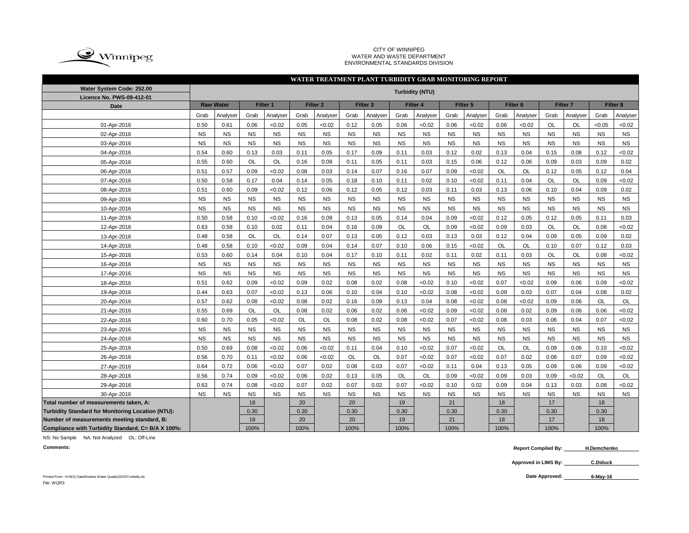

#### CITY OF WINNIPEG WATER AND WASTE DEPARTMENT ENVIRONMENTAL STANDARDS DIVISION

| WATER TREATMENT PLANT TURBIDITY GRAB MONITORING REPORT |                        |                  |           |           |           |                     |           |                     |           |           |                     |           |                     |           |                     |           |           |           |
|--------------------------------------------------------|------------------------|------------------|-----------|-----------|-----------|---------------------|-----------|---------------------|-----------|-----------|---------------------|-----------|---------------------|-----------|---------------------|-----------|-----------|-----------|
| Water System Code: 252.00<br>Licence No. PWS-09-412-01 | <b>Turbidity (NTU)</b> |                  |           |           |           |                     |           |                     |           |           |                     |           |                     |           |                     |           |           |           |
| <b>Date</b>                                            |                        | <b>Raw Water</b> |           | Filter 1  |           | Filter <sub>2</sub> |           | Filter <sub>3</sub> |           | Filter 4  | Filter <sub>5</sub> |           | Filter <sub>6</sub> |           | Filter <sub>7</sub> |           |           | Filter 8  |
|                                                        | Grab                   | Analyser         | Grab      | Analyser  | Grab      | Analyser            | Grab      | Analyser            | Grab      | Analyser  | Grab                | Analyser  | Grab                | Analyser  | Grab                | Analyser  | Grab      | Analyser  |
| 01-Apr-2016                                            | 0.50                   | 0.61             | 0.06      | <0.02     | 0.05      | < 0.02              | 0.12      | 0.05                | 0.06      | < 0.02    | 0.06                | <0.02     | 0.06                | < 0.02    | OL                  | OL        | <0.05     | < 0.02    |
| 02-Apr-2016                                            | <b>NS</b>              | <b>NS</b>        | <b>NS</b> | <b>NS</b> | <b>NS</b> | <b>NS</b>           | <b>NS</b> | <b>NS</b>           | <b>NS</b> | <b>NS</b> | <b>NS</b>           | <b>NS</b> | <b>NS</b>           | NS        | NS                  | <b>NS</b> | <b>NS</b> | <b>NS</b> |
| 03-Apr-2016                                            | <b>NS</b>              | <b>NS</b>        | <b>NS</b> | <b>NS</b> | <b>NS</b> | <b>NS</b>           | <b>NS</b> | <b>NS</b>           | <b>NS</b> | <b>NS</b> | <b>NS</b>           | <b>NS</b> | <b>NS</b>           | <b>NS</b> | <b>NS</b>           | <b>NS</b> | <b>NS</b> | <b>NS</b> |
| 04-Apr-2016                                            | 0.54                   | 0.60             | 0.13      | 0.03      | 0.11      | 0.05                | 0.17      | 0.09                | 0.11      | 0.03      | 0.12                | 0.02      | 0.13                | 0.04      | 0.15                | 0.08      | 0.12      | < 0.02    |
| 05-Apr-2016                                            | 0.55                   | 0.60             | OL        | OL        | 0.16      | 0.09                | 0.11      | 0.05                | 0.11      | 0.03      | 0.15                | 0.06      | 0.12                | 0.06      | 0.09                | 0.03      | 0.09      | 0.02      |
| 06-Apr-2016                                            | 0.51                   | 0.57             | 0.09      | <0.02     | 0.08      | 0.03                | 0.14      | 0.07                | 0.16      | 0.07      | 0.09                | <0.02     | <b>OL</b>           | <b>OL</b> | 0.12                | 0.05      | 0.12      | 0.04      |
| 07-Apr-2016                                            | 0.50                   | 0.58             | 0.17      | 0.04      | 0.14      | 0.05                | 0.18      | 0.10                | 0.11      | 0.02      | 0.10                | < 0.02    | 0.11                | 0.04      | OL                  | OL        | 0.09      | <0.02     |
| 08-Apr-2016                                            | 0.51                   | 0.60             | 0.09      | <0.02     | 0.12      | 0.06                | 0.12      | 0.05                | 0.12      | 0.03      | 0.11                | 0.03      | 0.13                | 0.06      | 0.10                | 0.04      | 0.09      | 0.02      |
| 09-Apr-2016                                            | <b>NS</b>              | <b>NS</b>        | <b>NS</b> | <b>NS</b> | <b>NS</b> | <b>NS</b>           | <b>NS</b> | <b>NS</b>           | <b>NS</b> | <b>NS</b> | <b>NS</b>           | <b>NS</b> | <b>NS</b>           | <b>NS</b> | <b>NS</b>           | <b>NS</b> | <b>NS</b> | <b>NS</b> |
| 10-Apr-2016                                            | <b>NS</b>              | <b>NS</b>        | <b>NS</b> | <b>NS</b> | <b>NS</b> | <b>NS</b>           | <b>NS</b> | <b>NS</b>           | <b>NS</b> | <b>NS</b> | <b>NS</b>           | <b>NS</b> | <b>NS</b>           | <b>NS</b> | <b>NS</b>           | <b>NS</b> | <b>NS</b> | <b>NS</b> |
| 11-Apr-2016                                            | 0.50                   | 0.58             | 0.10      | <0.02     | 0.16      | 0.09                | 0.13      | 0.05                | 0.14      | 0.04      | 0.09                | <0.02     | 0.12                | 0.05      | 0.12                | 0.05      | 0.11      | 0.03      |
| 12-Apr-2016                                            | 0.63                   | 0.58             | 0.10      | 0.02      | 0.11      | 0.04                | 0.16      | 0.09                | OL        | OL        | 0.09                | <0.02     | 0.09                | 0.03      | OL                  | OL        | 0.08      | <0.02     |
| 13-Apr-2016                                            | 0.48                   | 0.58             | OL        | OL        | 0.14      | 0.07                | 0.13      | 0.05                | 0.12      | 0.03      | 0.13                | 0.03      | 0.12                | 0.04      | 0.09                | 0.05      | 0.09      | 0.02      |
| 14-Apr-2016                                            | 0.48                   | 0.58             | 0.10      | <0.02     | 0.09      | 0.04                | 0.14      | 0.07                | 0.10      | 0.06      | 0.15                | <0.02     | <b>OL</b>           | OL        | 0.10                | 0.07      | 0.12      | 0.03      |
| 15-Apr-2016                                            | 0.53                   | 0.60             | 0.14      | 0.04      | 0.10      | 0.04                | 0.17      | 0.10                | 0.11      | 0.02      | 0.11                | 0.02      | 0.11                | 0.03      | <b>OL</b>           | <b>OL</b> | 0.08      | <0.02     |
| 16-Apr-2016                                            | <b>NS</b>              | <b>NS</b>        | <b>NS</b> | <b>NS</b> | <b>NS</b> | <b>NS</b>           | <b>NS</b> | <b>NS</b>           | <b>NS</b> | <b>NS</b> | <b>NS</b>           | <b>NS</b> | <b>NS</b>           | <b>NS</b> | <b>NS</b>           | <b>NS</b> | <b>NS</b> | <b>NS</b> |
| 17-Apr-2016                                            | <b>NS</b>              | <b>NS</b>        | <b>NS</b> | <b>NS</b> | <b>NS</b> | <b>NS</b>           | <b>NS</b> | <b>NS</b>           | <b>NS</b> | <b>NS</b> | <b>NS</b>           | <b>NS</b> | <b>NS</b>           | <b>NS</b> | <b>NS</b>           | <b>NS</b> | <b>NS</b> | <b>NS</b> |
| 18-Apr-2016                                            | 0.51                   | 0.62             | 0.09      | <0.02     | 0.09      | 0.02                | 0.08      | 0.02                | 0.08      | < 0.02    | 0.10                | <0.02     | 0.07                | <0.02     | 0.09                | 0.06      | 0.09      | < 0.02    |
| 19-Apr-2016                                            | 0.44                   | 0.63             | 0.07      | <0.02     | 0.13      | 0.06                | 0.10      | 0.04                | 0.10      | < 0.02    | 0.08                | < 0.02    | 0.09                | 0.03      | 0.07                | 0.04      | 0.08      | 0.02      |
| 20-Apr-2016                                            | 0.57                   | 0.62             | 0.08      | <0.02     | 0.08      | 0.02                | 0.16      | 0.09                | 0.13      | 0.04      | 0.08                | < 0.02    | 0.08                | <0.02     | 0.09                | 0.06      | OL        | OL        |
| 21-Apr-2016                                            | 0.55                   | 0.69             | <b>OL</b> | <b>OL</b> | 0.08      | 0.02                | 0.06      | 0.02                | 0.06      | < 0.02    | 0.09                | < 0.02    | 0.08                | 0.02      | 0.09                | 0.06      | 0.06      | < 0.02    |
| 22-Apr-2016                                            | 0.60                   | 0.70             | 0.05      | <0.02     | OL        | <b>OL</b>           | 0.08      | 0.02                | 0.08      | < 0.02    | 0.07                | < 0.02    | 0.08                | 0.03      | 0.06                | 0.04      | 0.07      | < 0.02    |
| 23-Apr-2016                                            | <b>NS</b>              | <b>NS</b>        | <b>NS</b> | <b>NS</b> | <b>NS</b> | <b>NS</b>           | <b>NS</b> | <b>NS</b>           | <b>NS</b> | <b>NS</b> | <b>NS</b>           | <b>NS</b> | <b>NS</b>           | <b>NS</b> | <b>NS</b>           | <b>NS</b> | <b>NS</b> | <b>NS</b> |
| 24-Apr-2016                                            | NS                     | <b>NS</b>        | <b>NS</b> | <b>NS</b> | <b>NS</b> | <b>NS</b>           | <b>NS</b> | $_{\rm NS}$         | <b>NS</b> | <b>NS</b> | <b>NS</b>           | <b>NS</b> | <b>NS</b>           | <b>NS</b> | <b>NS</b>           | <b>NS</b> | <b>NS</b> | <b>NS</b> |
| 25-Apr-2016                                            | 0.50                   | 0.69             | 0.08      | <0.02     | 0.06      | <0.02               | 0.11      | 0.04                | 0.10      | < 0.02    | 0.07                | <0.02     | <b>OL</b>           | <b>OL</b> | 0.09                | 0.06      | 0.10      | <0.02     |
| 26-Apr-2016                                            | 0.56                   | 0.70             | 0.11      | <0.02     | 0.06      | < 0.02              | <b>OL</b> | <b>OL</b>           | 0.07      | < 0.02    | 0.07                | <0.02     | 0.07                | 0.02      | 0.08                | 0.07      | 0.09      | < 0.02    |
| 27-Apr-2016                                            | 0.64                   | 0.72             | 0.06      | <0.02     | 0.07      | 0.02                | 0.08      | 0.03                | 0.07      | < 0.02    | 0.11                | 0.04      | 0.13                | 0.05      | 0.09                | 0.06      | 0.09      | < 0.02    |
| 28-Apr-2016                                            | 0.56                   | 0.74             | 0.09      | <0.02     | 0.06      | 0.02                | 0.13      | 0.05                | <b>OL</b> | OL        | 0.09                | <0.02     | 0.09                | 0.03      | 0.09                | < 0.02    | <b>OL</b> | OL        |
| 29-Apr-2016                                            | 0.63                   | 0.74             | 0.08      | < 0.02    | 0.07      | 0.02                | 0.07      | 0.02                | 0.07      | <0.02     | 0.10                | 0.02      | 0.09                | 0.04      | 0.13                | 0.03      | 0.08      | <0.02     |
| 30-Apr-2016                                            | <b>NS</b>              | <b>NS</b>        | <b>NS</b> | <b>NS</b> | <b>NS</b> | <b>NS</b>           | <b>NS</b> | <b>NS</b>           | <b>NS</b> | <b>NS</b> | <b>NS</b>           | <b>NS</b> | <b>NS</b>           | <b>NS</b> | <b>NS</b>           | <b>NS</b> | <b>NS</b> | <b>NS</b> |
| Total number of measurements taken, A:                 |                        |                  | 18        |           | 20        |                     | 20        |                     | 19        |           | 21                  |           | 18                  |           | 17                  |           | 18        |           |
| Turbidity Standard for Monitoring Location (NTU):      |                        |                  | 0.30      |           | 0.30      |                     | 0.30      |                     | 0.30      |           | 0.30                |           | 0.30                |           | 0.30                |           | 0.30      |           |
| Number of measurements meeting standard, B:            |                        |                  | 18        |           | 20        |                     | 20        |                     | 19        |           | 21                  |           | 18                  |           | 17                  |           | 18        |           |
| Compliance with Turbidity Standard, C= B/A X 100%:     |                        |                  | 100%      |           | 100%      |                     | 100%      |                     | 100%      |           | 100%                |           | 100%                |           | 100%                |           | 100%      |           |

NS: No Sample NA: Not Analyzed OL: Off-Line

**Comments: Report Compiled By: H.Demchenko**

> **Approved in LIMS By: C.Diduck**

Printed From : N:\WQ Data\Routine Water Quality\2015\Turbidity.xls File: WQR3

Date Approved: 6-May-16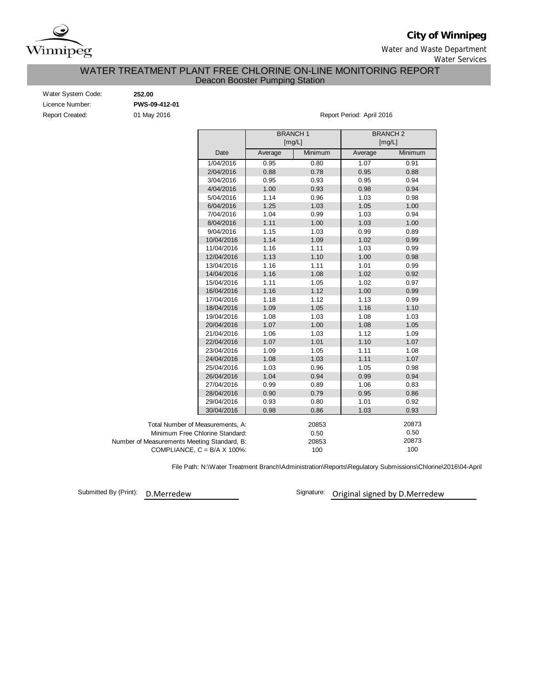

**City of Winnipeg**

Water and Waste Department

Water Services

### WATER TREATMENT PLANT FREE CHLORINE ON-LINE MONITORING REPORT Deacon Booster Pumping Station

| Water System Code:     |  |
|------------------------|--|
| Licence Number:        |  |
| <b>Report Created:</b> |  |

Water System Code: **252.00** Licence Number: **PWS-09-412-01**

01 May 2016 **Report Period: April 2016** 

|                                             |         | <b>BRANCH1</b><br>[mg/L] |         | <b>BRANCH2</b><br>[mg/L] |  |  |  |  |
|---------------------------------------------|---------|--------------------------|---------|--------------------------|--|--|--|--|
| Date                                        | Average | Minimum                  | Average | Minimum                  |  |  |  |  |
| 1/04/2016                                   | 0.95    | 0.80                     | 1.07    | 0.91                     |  |  |  |  |
| 2/04/2016                                   | 0.88    | 0.78                     | 0.95    | 0.88                     |  |  |  |  |
| 3/04/2016                                   | 0.95    | 0.93                     | 0.95    | 0.94                     |  |  |  |  |
| 4/04/2016                                   | 1.00    | 0.93                     | 0.98    | 0.94                     |  |  |  |  |
| 5/04/2016                                   | 1.14    | 0.96                     | 1.03    | 0.98                     |  |  |  |  |
| 6/04/2016                                   | 1.25    | 1.03                     | 1.05    | 1.00                     |  |  |  |  |
| 7/04/2016                                   | 1.04    | 0.99                     | 1.03    | 0.94                     |  |  |  |  |
| 8/04/2016                                   | 1.11    | 1.00                     | 1.03    | 1.00                     |  |  |  |  |
| 9/04/2016                                   | 1.15    | 1.03                     | 0.99    | 0.89                     |  |  |  |  |
| 10/04/2016                                  | 1.14    | 1.09                     | 1.02    | 0.99                     |  |  |  |  |
| 11/04/2016                                  | 1.16    | 1.11                     | 1.03    | 0.99                     |  |  |  |  |
| 12/04/2016                                  | 1.13    | 1.10                     | 1.00    | 0.98                     |  |  |  |  |
| 13/04/2016                                  | 1.16    | 1.11                     | 1.01    | 0.99                     |  |  |  |  |
| 14/04/2016                                  | 1.16    | 1.08                     | 1.02    | 0.92                     |  |  |  |  |
| 15/04/2016                                  | 1.11    | 1.05                     | 1.02    | 0.97                     |  |  |  |  |
| 16/04/2016                                  | 1.16    | 1.12                     | 1.00    | 0.99                     |  |  |  |  |
| 17/04/2016                                  | 1.18    | 1.12                     | 1.13    | 0.99                     |  |  |  |  |
| 18/04/2016                                  | 1.09    | 1.05                     | 1.16    | 1.10                     |  |  |  |  |
| 19/04/2016                                  | 1.08    | 1.03                     | 1.08    | 1.03                     |  |  |  |  |
| 20/04/2016                                  | 1.07    | 1.00                     | 1.08    | 1.05                     |  |  |  |  |
| 21/04/2016                                  | 1.06    | 1.03                     | 1.12    | 1.09                     |  |  |  |  |
| 22/04/2016                                  | 1.07    | 1.01                     | 1.10    | 1.07                     |  |  |  |  |
| 23/04/2016                                  | 1.09    | 1.05                     | 1.11    | 1.08                     |  |  |  |  |
| 24/04/2016                                  | 1.08    | 1.03                     | 1.11    | 1.07                     |  |  |  |  |
| 25/04/2016                                  | 1.03    | 0.96                     | 1.05    | 0.98                     |  |  |  |  |
| 26/04/2016                                  | 1.04    | 0.94                     | 0.99    | 0.94                     |  |  |  |  |
| 27/04/2016                                  | 0.99    | 0.89                     | 1.06    | 0.83                     |  |  |  |  |
| 28/04/2016                                  | 0.90    | 0.79                     | 0.95    | 0.86                     |  |  |  |  |
| 29/04/2016                                  | 0.93    | 0.80                     | 1.01    | 0.92                     |  |  |  |  |
| 30/04/2016                                  | 0.98    | 0.86                     | 1.03    | 0.93                     |  |  |  |  |
| Total Number of Measurements. A:            |         | 20853                    |         | 20873                    |  |  |  |  |
| Minimum Free Chlorine Standard:             |         | 0.50                     |         | 0.50                     |  |  |  |  |
| Number of Measurements Meeting Standard, B: |         |                          | 20873   |                          |  |  |  |  |
| COMPLIANCE, $C = B/A \times 100\%$ :        |         | 20853<br>100             |         |                          |  |  |  |  |

File Path: N:\Water Treatment Branch\Administration\Reports\Regulatory Submissions\Chlorine\2016\04-April

Submitted By (Print): D.Merredew

Signature: Original signed by D.Merredew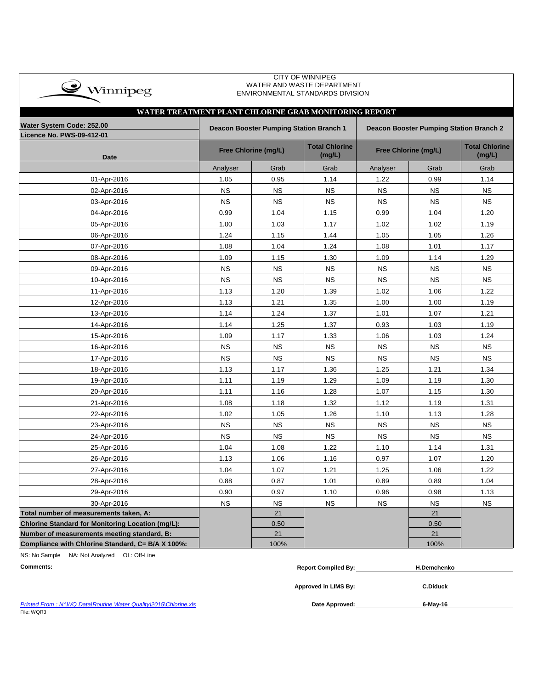| $\clubsuit$ Winnipeg |
|----------------------|
|                      |

 CITY OF WINNIPEG WATER AND WASTE DEPARTMENT ENVIRONMENTAL STANDARDS DIVISION

| WATER TREATMENT PLANT CHLORINE GRAB MONITORING REPORT  |                                                                                    |                      |                                 |                      |                                 |           |  |  |  |  |  |  |
|--------------------------------------------------------|------------------------------------------------------------------------------------|----------------------|---------------------------------|----------------------|---------------------------------|-----------|--|--|--|--|--|--|
| Water System Code: 252.00<br>Licence No. PWS-09-412-01 | Deacon Booster Pumping Station Branch 1<br>Deacon Booster Pumping Station Branch 2 |                      |                                 |                      |                                 |           |  |  |  |  |  |  |
| <b>Date</b>                                            |                                                                                    | Free Chlorine (mg/L) | <b>Total Chlorine</b><br>(mg/L) | Free Chlorine (mg/L) | <b>Total Chlorine</b><br>(mg/L) |           |  |  |  |  |  |  |
|                                                        | Analyser                                                                           | Grab                 | Grab                            | Analyser             | Grab                            | Grab      |  |  |  |  |  |  |
| 01-Apr-2016                                            | 1.05                                                                               | 0.95                 | 1.14                            | 1.22                 | 0.99                            | 1.14      |  |  |  |  |  |  |
| 02-Apr-2016                                            | <b>NS</b>                                                                          | <b>NS</b>            | <b>NS</b>                       | <b>NS</b>            | <b>NS</b>                       | <b>NS</b> |  |  |  |  |  |  |
| 03-Apr-2016                                            | <b>NS</b>                                                                          | <b>NS</b>            | <b>NS</b>                       | <b>NS</b>            | <b>NS</b>                       | <b>NS</b> |  |  |  |  |  |  |
| 04-Apr-2016                                            | 0.99                                                                               | 1.04                 | 1.15                            | 0.99                 | 1.04                            | 1.20      |  |  |  |  |  |  |
| 05-Apr-2016                                            | 1.00                                                                               | 1.03                 | 1.17                            | 1.02                 | 1.02                            | 1.19      |  |  |  |  |  |  |
| 06-Apr-2016                                            | 1.24                                                                               | 1.15                 | 1.44                            | 1.05                 | 1.05                            | 1.26      |  |  |  |  |  |  |
| 07-Apr-2016                                            | 1.08                                                                               | 1.04                 | 1.24                            | 1.08                 | 1.01                            | 1.17      |  |  |  |  |  |  |
| 08-Apr-2016                                            | 1.09                                                                               | 1.15                 | 1.30                            | 1.09                 | 1.14                            | 1.29      |  |  |  |  |  |  |
| 09-Apr-2016                                            | <b>NS</b>                                                                          | <b>NS</b>            | <b>NS</b>                       | <b>NS</b>            | <b>NS</b>                       | <b>NS</b> |  |  |  |  |  |  |
| 10-Apr-2016                                            | <b>NS</b>                                                                          | <b>NS</b>            | <b>NS</b>                       | <b>NS</b>            | <b>NS</b>                       | <b>NS</b> |  |  |  |  |  |  |
| 11-Apr-2016                                            | 1.13                                                                               | 1.20                 | 1.39                            | 1.02                 | 1.06                            | 1.22      |  |  |  |  |  |  |
| 12-Apr-2016                                            | 1.13                                                                               | 1.21                 | 1.35                            | 1.00                 | 1.00                            | 1.19      |  |  |  |  |  |  |
| 13-Apr-2016                                            | 1.14                                                                               | 1.24                 | 1.37                            | 1.01                 | 1.07                            | 1.21      |  |  |  |  |  |  |
| 14-Apr-2016                                            | 1.14                                                                               | 1.25                 | 1.37                            | 0.93                 | 1.03                            | 1.19      |  |  |  |  |  |  |
| 15-Apr-2016                                            | 1.09                                                                               | 1.17                 | 1.33                            | 1.06                 | 1.03                            | 1.24      |  |  |  |  |  |  |
| 16-Apr-2016                                            | <b>NS</b>                                                                          | <b>NS</b>            | <b>NS</b>                       | <b>NS</b>            | <b>NS</b>                       | <b>NS</b> |  |  |  |  |  |  |
| 17-Apr-2016                                            | <b>NS</b>                                                                          | <b>NS</b>            | <b>NS</b>                       | <b>NS</b>            | <b>NS</b>                       | <b>NS</b> |  |  |  |  |  |  |
| 18-Apr-2016                                            | 1.13                                                                               | 1.17                 | 1.36                            | 1.25                 | 1.21                            | 1.34      |  |  |  |  |  |  |
| 19-Apr-2016                                            | 1.11                                                                               | 1.19                 | 1.29                            | 1.09                 | 1.19                            | 1.30      |  |  |  |  |  |  |
| 20-Apr-2016                                            | 1.11                                                                               | 1.16                 | 1.28                            | 1.07                 | 1.15                            | 1.30      |  |  |  |  |  |  |
| 21-Apr-2016                                            | 1.08                                                                               | 1.18                 | 1.32                            | 1.12                 | 1.19                            | 1.31      |  |  |  |  |  |  |
| 22-Apr-2016                                            | 1.02                                                                               | 1.05                 | 1.26                            | 1.10                 | 1.13                            | 1.28      |  |  |  |  |  |  |
| 23-Apr-2016                                            | <b>NS</b>                                                                          | <b>NS</b>            | <b>NS</b>                       | <b>NS</b>            | <b>NS</b>                       | <b>NS</b> |  |  |  |  |  |  |
| 24-Apr-2016                                            | <b>NS</b>                                                                          | <b>NS</b>            | <b>NS</b>                       | <b>NS</b>            | <b>NS</b>                       | <b>NS</b> |  |  |  |  |  |  |
| 25-Apr-2016                                            | 1.04                                                                               | 1.08                 | 1.22                            | 1.10                 | 1.14                            | 1.31      |  |  |  |  |  |  |
| 26-Apr-2016                                            | 1.13                                                                               | 1.06                 | 1.16                            | 0.97                 | 1.07                            | 1.20      |  |  |  |  |  |  |
| 27-Apr-2016                                            | 1.04                                                                               | 1.07                 | 1.21                            | 1.25                 | 1.06                            | 1.22      |  |  |  |  |  |  |
| 28-Apr-2016                                            | 0.88                                                                               | 0.87                 | 1.01                            | 0.89                 | 0.89                            | 1.04      |  |  |  |  |  |  |
| 29-Apr-2016                                            | 0.90                                                                               | 0.97                 | 1.10                            | 0.96                 | 0.98                            | 1.13      |  |  |  |  |  |  |
| 30-Apr-2016                                            | <b>NS</b>                                                                          | <b>NS</b>            | <b>NS</b>                       | <b>NS</b>            | <b>NS</b>                       | <b>NS</b> |  |  |  |  |  |  |
| Total number of measurements taken, A:                 |                                                                                    | 21                   |                                 |                      | 21                              |           |  |  |  |  |  |  |
| Chlorine Standard for Monitoring Location (mg/L):      |                                                                                    | 0.50                 |                                 |                      | 0.50                            |           |  |  |  |  |  |  |
| Number of measurements meeting standard, B:            |                                                                                    | 21                   |                                 |                      | 21                              |           |  |  |  |  |  |  |
| Compliance with Chlorine Standard, C= B/A X 100%:      |                                                                                    | 100%                 |                                 |                      | 100%                            |           |  |  |  |  |  |  |

NS: No Sample NA: Not Analyzed OL: Off-Line

| <b>Comments:</b> | −ompiled Bv<br>Renor | chenko |
|------------------|----------------------|--------|
|                  |                      |        |

**Approved in LIMS By: C.Diduck**

*Printed From : N:\WQ Data\Routine Water Quality\2015\Chlorine.xls* File: WQR3

Date Approved: **6-May-16**